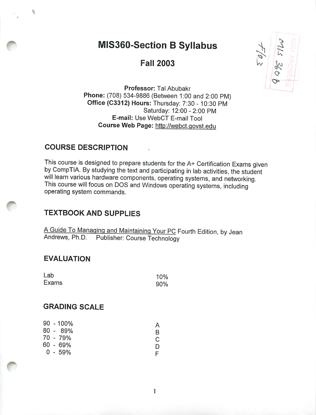# MIS360-Section B Syllabus

Fall 2003



*Professor:* Tal Abubakr *Phone:* (708) 534-9886 (Between 1:00 and 2:00 PM) *Office (C3312) Hours:* Thursday: 7:30 -10:30 PM Saturday: 12:00-2:00 PM *E-mail:* Use WebCT E-mail Tool *Course Web Page:* http://webct.qovst.edu

#### *COURSE DESCRIPTION*

This course is designed to prepare students for the A+ Certification Exams given by CompTIA. By studying the text and participating in lab activities, the student will learn various hardware components, operating systems, and networking. This course will focus on DOS and Windows operating systems, including operating system commands.

## *TEXTBOOK AND SUPPLIES*

A Guide To Managing and Maintaining Your PC Fourth Edition, by Jean Andrews, Ph.D. Publisher: Course Technology Publisher: Course Technology

 $\mathbf{1}$ 

#### *EVALUATION*

| Lab   | 10% |
|-------|-----|
| Exams | 90% |

#### *GRADING SCALE*

|  | $90 - 100\%$ |   |
|--|--------------|---|
|  | 80 - 89%     | R |
|  | 70 - 79%     | C |
|  | 60 - 69%     | D |
|  | 0 - 59%      |   |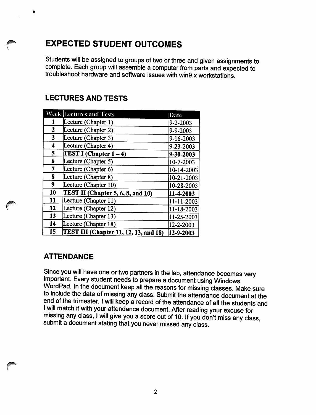## *EXPECTED STUDENT OUTCOMES*

*Students will be assigned to groups oftwo or three and given assignments to complete. Each group will assemble a computer from parts and expected to troubleshoot hardware and software issues with win9.x workstations.*

## *LECTURES AND TESTS*

|                         | <b>Week Lectures and Tests</b>           | Date             |
|-------------------------|------------------------------------------|------------------|
|                         | Lecture (Chapter 1)                      | 9-2-2003         |
| 2                       | Lecture (Chapter 2)                      | 9-9-2003         |
| $\overline{\mathbf{3}}$ | Lecture (Chapter 3)                      | 9-16-2003        |
| 4                       | Lecture (Chapter 4)                      | 9-23-2003        |
| 5                       | <b>TEST I (Chapter <math>1-4</math>)</b> | 9-30-2003        |
| 6                       | Lecture (Chapter 5)                      | 10-7-2003        |
| 7                       | Lecture (Chapter 6)                      | 10-14-2003       |
| 8                       | Lecture (Chapter 8)                      | $10 - 21 - 2003$ |
| 9                       | Lecture (Chapter 10)                     | 10-28-2003       |
| 10                      | TEST II (Chapter 5, 6, 8, and 10)        | 11-4-2003        |
| 11                      | Lecture (Chapter 11)                     | $11 - 11 - 2003$ |
| 12                      | Lecture (Chapter 12)                     | 11-18-2003       |
| 13                      | Lecture (Chapter 13)                     | 11-25-2003       |
| 14                      | Lecture (Chapter 18)                     | 12-2-2003        |
| 15                      | TEST III (Chapter 11, 12, 13, and 18)    | 12-9-2003        |

## *ATTENDANCE*

*Since you will have one or two partners in the lab, attendance becomes very important. Every student needs to prepare a document using Windows WordPad. In the document keep all the reasons for missing classes. Make sure to include the date of missing any class. Submit the attendance document atthe end ofthe trimester. Iwill keep a record ofthe attendance of all the students and* missing any class, I will give you a score out of 10. If you don't miss any class, *submit a document stating that you never missed any class.*